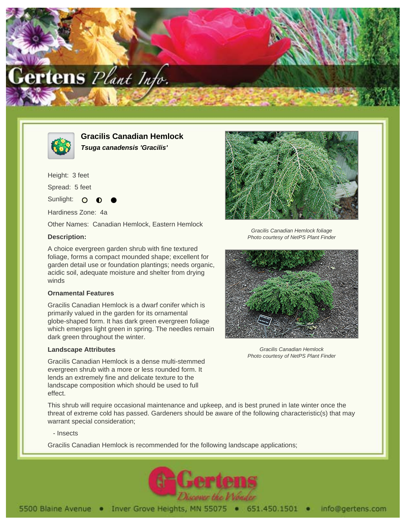



**Gracilis Canadian Hemlock Tsuga canadensis 'Gracilis'**

Height: 3 feet Spread: 5 feet

Sunlight: O

Hardiness Zone: 4a

Other Names: Canadian Hemlock, Eastern Hemlock

# **Description:**

A choice evergreen garden shrub with fine textured foliage, forms a compact mounded shape; excellent for garden detail use or foundation plantings; needs organic, acidic soil, adequate moisture and shelter from drying winds

# **Ornamental Features**

Gracilis Canadian Hemlock is a dwarf conifer which is primarily valued in the garden for its ornamental globe-shaped form. It has dark green evergreen foliage which emerges light green in spring. The needles remain dark green throughout the winter.

# **Landscape Attributes**

Gracilis Canadian Hemlock is a dense multi-stemmed evergreen shrub with a more or less rounded form. It lends an extremely fine and delicate texture to the landscape composition which should be used to full effect.



Gracilis Canadian Hemlock foliage Photo courtesy of NetPS Plant Finder



Gracilis Canadian Hemlock Photo courtesy of NetPS Plant Finder

This shrub will require occasional maintenance and upkeep, and is best pruned in late winter once the threat of extreme cold has passed. Gardeners should be aware of the following characteristic(s) that may warrant special consideration;

- Insects

Gracilis Canadian Hemlock is recommended for the following landscape applications;